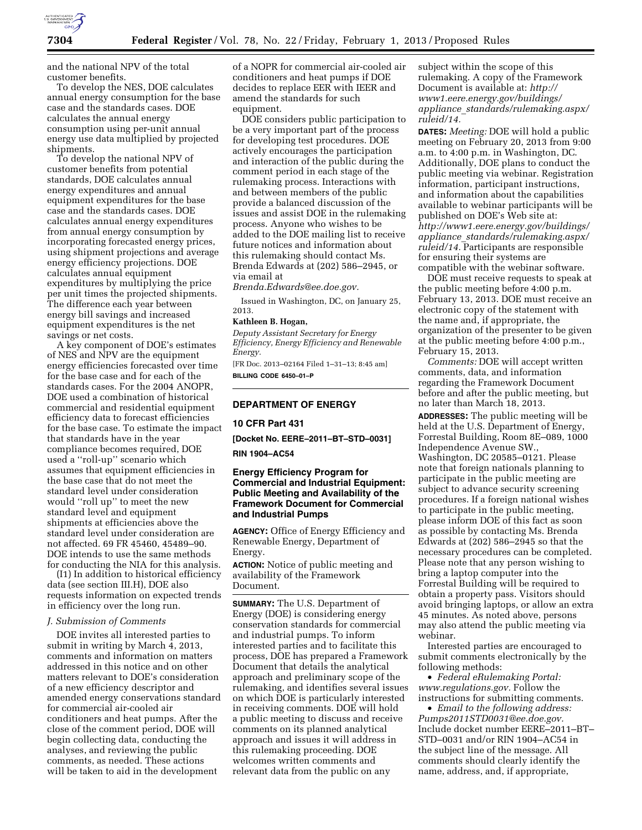

and the national NPV of the total customer benefits.

To develop the NES, DOE calculates annual energy consumption for the base case and the standards cases. DOE calculates the annual energy consumption using per-unit annual energy use data multiplied by projected shipments.

To develop the national NPV of customer benefits from potential standards, DOE calculates annual energy expenditures and annual equipment expenditures for the base case and the standards cases. DOE calculates annual energy expenditures from annual energy consumption by incorporating forecasted energy prices, using shipment projections and average energy efficiency projections. DOE calculates annual equipment expenditures by multiplying the price per unit times the projected shipments. The difference each year between energy bill savings and increased equipment expenditures is the net savings or net costs.

A key component of DOE's estimates of NES and NPV are the equipment energy efficiencies forecasted over time for the base case and for each of the standards cases. For the 2004 ANOPR, DOE used a combination of historical commercial and residential equipment efficiency data to forecast efficiencies for the base case. To estimate the impact that standards have in the year compliance becomes required, DOE used a ''roll-up'' scenario which assumes that equipment efficiencies in the base case that do not meet the standard level under consideration would ''roll up'' to meet the new standard level and equipment shipments at efficiencies above the standard level under consideration are not affected. 69 FR 45460, 45489–90. DOE intends to use the same methods for conducting the NIA for this analysis.

(I1) In addition to historical efficiency data (see section III.H), DOE also requests information on expected trends in efficiency over the long run.

### *J. Submission of Comments*

DOE invites all interested parties to submit in writing by March 4, 2013, comments and information on matters addressed in this notice and on other matters relevant to DOE's consideration of a new efficiency descriptor and amended energy conservations standard for commercial air-cooled air conditioners and heat pumps. After the close of the comment period, DOE will begin collecting data, conducting the analyses, and reviewing the public comments, as needed. These actions will be taken to aid in the development

of a NOPR for commercial air-cooled air conditioners and heat pumps if DOE decides to replace EER with IEER and amend the standards for such equipment.

DOE considers public participation to be a very important part of the process for developing test procedures. DOE actively encourages the participation and interaction of the public during the comment period in each stage of the rulemaking process. Interactions with and between members of the public provide a balanced discussion of the issues and assist DOE in the rulemaking process. Anyone who wishes to be added to the DOE mailing list to receive future notices and information about this rulemaking should contact Ms. Brenda Edwards at (202) 586–2945, or via email at

*[Brenda.Edwards@ee.doe.gov.](mailto:Brenda.Edwards@ee.doe.gov)* 

Issued in Washington, DC, on January 25, 2013.

## **Kathleen B. Hogan,**

*Deputy Assistant Secretary for Energy Efficiency, Energy Efficiency and Renewable Energy.* 

[FR Doc. 2013–02164 Filed 1–31–13; 8:45 am] **BILLING CODE 6450–01–P** 

## **DEPARTMENT OF ENERGY**

### **10 CFR Part 431**

**[Docket No. EERE–2011–BT–STD–0031]** 

### **RIN 1904–AC54**

## **Energy Efficiency Program for Commercial and Industrial Equipment: Public Meeting and Availability of the Framework Document for Commercial and Industrial Pumps**

**AGENCY:** Office of Energy Efficiency and Renewable Energy, Department of Energy.

**ACTION:** Notice of public meeting and availability of the Framework Document.

**SUMMARY:** The U.S. Department of Energy (DOE) is considering energy conservation standards for commercial and industrial pumps. To inform interested parties and to facilitate this process, DOE has prepared a Framework Document that details the analytical approach and preliminary scope of the rulemaking, and identifies several issues on which DOE is particularly interested in receiving comments. DOE will hold a public meeting to discuss and receive comments on its planned analytical approach and issues it will address in this rulemaking proceeding. DOE welcomes written comments and relevant data from the public on any

subject within the scope of this rulemaking. A copy of the Framework Document is available at: *[http://](http://www1.eere.energy.gov/buildings/appliance_standards/rulemaking.aspx/ruleid/14)  [www1.eere.energy.gov/buildings/](http://www1.eere.energy.gov/buildings/appliance_standards/rulemaking.aspx/ruleid/14)  appliance*\_*[standards/rulemaking.aspx/](http://www1.eere.energy.gov/buildings/appliance_standards/rulemaking.aspx/ruleid/14)  [ruleid/14.](http://www1.eere.energy.gov/buildings/appliance_standards/rulemaking.aspx/ruleid/14)* 

**DATES:** *Meeting:* DOE will hold a public meeting on February 20, 2013 from 9:00 a.m. to 4:00 p.m. in Washington, DC. Additionally, DOE plans to conduct the public meeting via webinar. Registration information, participant instructions, and information about the capabilities available to webinar participants will be published on DOE's Web site at: *[http://www1.eere.energy.gov/buildings/](http://www1.eere.energy.gov/buildings/appliance_standards/rulemaking.aspx/ruleid/14) appliance*\_*[standards/rulemaking.aspx/](http://www1.eere.energy.gov/buildings/appliance_standards/rulemaking.aspx/ruleid/14)  [ruleid/14.](http://www1.eere.energy.gov/buildings/appliance_standards/rulemaking.aspx/ruleid/14)* Participants are responsible for ensuring their systems are compatible with the webinar software.

DOE must receive requests to speak at the public meeting before 4:00 p.m. February 13, 2013. DOE must receive an electronic copy of the statement with the name and, if appropriate, the organization of the presenter to be given at the public meeting before 4:00 p.m., February 15, 2013.

*Comments:* DOE will accept written comments, data, and information regarding the Framework Document before and after the public meeting, but no later than March 18, 2013.

**ADDRESSES:** The public meeting will be held at the U.S. Department of Energy, Forrestal Building, Room 8E–089, 1000 Independence Avenue SW., Washington, DC 20585–0121. Please note that foreign nationals planning to participate in the public meeting are subject to advance security screening procedures. If a foreign national wishes to participate in the public meeting, please inform DOE of this fact as soon as possible by contacting Ms. Brenda Edwards at (202) 586–2945 so that the necessary procedures can be completed. Please note that any person wishing to bring a laptop computer into the Forrestal Building will be required to obtain a property pass. Visitors should avoid bringing laptops, or allow an extra 45 minutes. As noted above, persons may also attend the public meeting via webinar.

Interested parties are encouraged to submit comments electronically by the following methods:

• *Federal eRulemaking Portal: [www.regulations.gov.](http://www.regulations.gov)* Follow the instructions for submitting comments.

• *Email to the following address: [Pumps2011STD0031@ee.doe.gov.](mailto:Pumps2011STD0031@ee.doe.gov)*  Include docket number EERE–2011–BT– STD–0031 and/or RIN 1904–AC54 in the subject line of the message. All comments should clearly identify the name, address, and, if appropriate,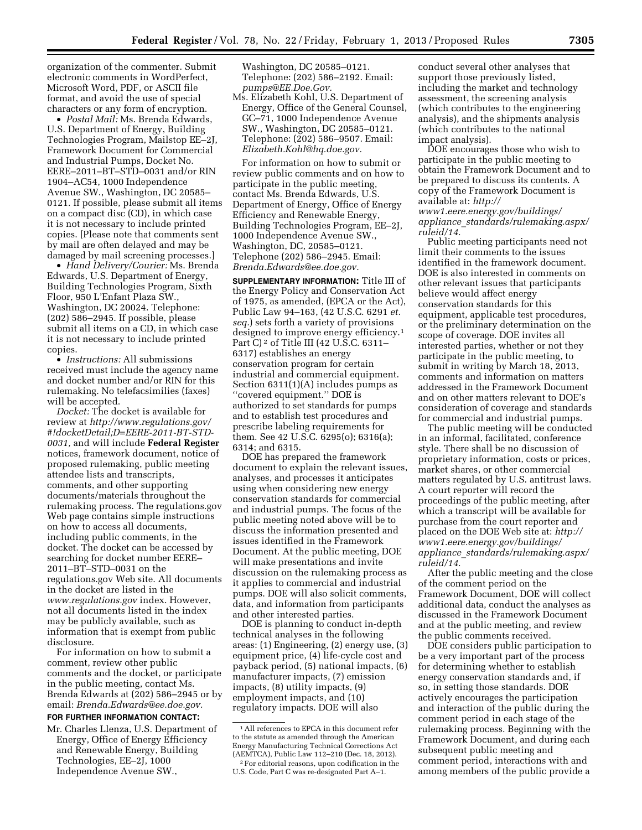organization of the commenter. Submit electronic comments in WordPerfect, Microsoft Word, PDF, or ASCII file format, and avoid the use of special characters or any form of encryption.

• *Postal Mail:* Ms. Brenda Edwards, U.S. Department of Energy, Building Technologies Program, Mailstop EE–2J, Framework Document for Commercial and Industrial Pumps, Docket No. EERE–2011–BT–STD–0031 and/or RIN 1904–AC54, 1000 Independence Avenue SW., Washington, DC 20585– 0121. If possible, please submit all items on a compact disc (CD), in which case it is not necessary to include printed copies. [Please note that comments sent by mail are often delayed and may be damaged by mail screening processes.]

• *Hand Delivery/Courier:* Ms. Brenda Edwards, U.S. Department of Energy, Building Technologies Program, Sixth Floor, 950 L'Enfant Plaza SW., Washington, DC 20024. Telephone: (202) 586–2945. If possible, please submit all items on a CD, in which case it is not necessary to include printed copies.

• *Instructions:* All submissions received must include the agency name and docket number and/or RIN for this rulemaking. No telefacsimilies (faxes) will be accepted.

*Docket:* The docket is available for review at *[http://www.regulations.gov/](http://www.regulations.gov/#!docketDetail;D=EERE-2011-BT-STD-0031) [#!docketDetail;D=EERE-2011-BT-STD-](http://www.regulations.gov/#!docketDetail;D=EERE-2011-BT-STD-0031)[0031,](http://www.regulations.gov/#!docketDetail;D=EERE-2011-BT-STD-0031)* and will include **Federal Register**  notices, framework document, notice of proposed rulemaking, public meeting attendee lists and transcripts, comments, and other supporting documents/materials throughout the rulemaking process. The regulations.gov Web page contains simple instructions on how to access all documents, including public comments, in the docket. The docket can be accessed by searching for docket number EERE– 2011–BT–STD–0031 on the regulations.gov Web site. All documents in the docket are listed in the *[www.regulations.gov](http://www.regulations.gov)* index. However, not all documents listed in the index may be publicly available, such as information that is exempt from public disclosure.

For information on how to submit a comment, review other public comments and the docket, or participate in the public meeting, contact Ms. Brenda Edwards at (202) 586–2945 or by email: *[Brenda.Edwards@ee.doe.gov.](mailto:Brenda.Edwards@ee.doe.gov)* 

# **FOR FURTHER INFORMATION CONTACT:**

Mr. Charles Llenza, U.S. Department of Energy, Office of Energy Efficiency and Renewable Energy, Building Technologies, EE–2J, 1000 Independence Avenue SW.,

Washington, DC 20585–0121. Telephone: (202) 586–2192. Email: *[pumps@EE.Doe.Gov.](mailto:pumps@EE.Doe.Gov)* 

Ms. Elizabeth Kohl, U.S. Department of Energy, Office of the General Counsel, GC–71, 1000 Independence Avenue SW., Washington, DC 20585–0121. Telephone: (202) 586–9507. Email: *[Elizabeth.Kohl@hq.doe.gov.](mailto:Elizabeth.Kohl@hq.doe.gov)* 

For information on how to submit or review public comments and on how to participate in the public meeting, contact Ms. Brenda Edwards, U.S. Department of Energy, Office of Energy Efficiency and Renewable Energy, Building Technologies Program, EE–2J, 1000 Independence Avenue SW., Washington, DC, 20585–0121. Telephone (202) 586–2945. Email: *[Brenda.Edwards@ee.doe.gov.](mailto:Brenda.Edwards@ee.doe.gov)* 

**SUPPLEMENTARY INFORMATION:** Title III of the Energy Policy and Conservation Act of 1975, as amended, (EPCA or the Act), Public Law 94–163, (42 U.S.C. 6291 *et. seq.*) sets forth a variety of provisions designed to improve energy efficiency.1 Part C) 2 of Title III (42 U.S.C. 6311– 6317) establishes an energy conservation program for certain industrial and commercial equipment. Section 6311(1)(A) includes pumps as ''covered equipment.'' DOE is authorized to set standards for pumps and to establish test procedures and prescribe labeling requirements for them. See 42 U.S.C. 6295(o); 6316(a); 6314; and 6315.

DOE has prepared the framework document to explain the relevant issues, analyses, and processes it anticipates using when considering new energy conservation standards for commercial and industrial pumps. The focus of the public meeting noted above will be to discuss the information presented and issues identified in the Framework Document. At the public meeting, DOE will make presentations and invite discussion on the rulemaking process as it applies to commercial and industrial pumps. DOE will also solicit comments, data, and information from participants and other interested parties.

DOE is planning to conduct in-depth technical analyses in the following areas: (1) Engineering, (2) energy use, (3) equipment price, (4) life-cycle cost and payback period, (5) national impacts, (6) manufacturer impacts, (7) emission impacts, (8) utility impacts, (9) employment impacts, and (10) regulatory impacts. DOE will also

conduct several other analyses that support those previously listed, including the market and technology assessment, the screening analysis (which contributes to the engineering analysis), and the shipments analysis (which contributes to the national impact analysis).

DOE encourages those who wish to participate in the public meeting to obtain the Framework Document and to be prepared to discuss its contents. A copy of the Framework Document is available at: *[http://](http://www1.eere.energy.gov/buildings/appliance_standards/rulemaking.aspx/ruleid/14) [www1.eere.energy.gov/buildings/](http://www1.eere.energy.gov/buildings/appliance_standards/rulemaking.aspx/ruleid/14)  appliance*\_*[standards/rulemaking.aspx/](http://www1.eere.energy.gov/buildings/appliance_standards/rulemaking.aspx/ruleid/14)  [ruleid/14.](http://www1.eere.energy.gov/buildings/appliance_standards/rulemaking.aspx/ruleid/14)* 

Public meeting participants need not limit their comments to the issues identified in the framework document. DOE is also interested in comments on other relevant issues that participants believe would affect energy conservation standards for this equipment, applicable test procedures, or the preliminary determination on the scope of coverage. DOE invites all interested parties, whether or not they participate in the public meeting, to submit in writing by March 18, 2013, comments and information on matters addressed in the Framework Document and on other matters relevant to DOE's consideration of coverage and standards for commercial and industrial pumps.

The public meeting will be conducted in an informal, facilitated, conference style. There shall be no discussion of proprietary information, costs or prices, market shares, or other commercial matters regulated by U.S. antitrust laws. A court reporter will record the proceedings of the public meeting, after which a transcript will be available for purchase from the court reporter and placed on the DOE Web site at: *[http://](http://www1.eere.energy.gov/buildings/appliance_standards/rulemaking.aspx/ruleid/14)  [www1.eere.energy.gov/buildings/](http://www1.eere.energy.gov/buildings/appliance_standards/rulemaking.aspx/ruleid/14)  appliance*\_*[standards/rulemaking.aspx/](http://www1.eere.energy.gov/buildings/appliance_standards/rulemaking.aspx/ruleid/14)  [ruleid/14.](http://www1.eere.energy.gov/buildings/appliance_standards/rulemaking.aspx/ruleid/14)* 

After the public meeting and the close of the comment period on the Framework Document, DOE will collect additional data, conduct the analyses as discussed in the Framework Document and at the public meeting, and review the public comments received.

DOE considers public participation to be a very important part of the process for determining whether to establish energy conservation standards and, if so, in setting those standards. DOE actively encourages the participation and interaction of the public during the comment period in each stage of the rulemaking process. Beginning with the Framework Document, and during each subsequent public meeting and comment period, interactions with and among members of the public provide a

<sup>1</sup>All references to EPCA in this document refer to the statute as amended through the American Energy Manufacturing Technical Corrections Act (AEMTCA), Public Law 112–210 (Dec. 18, 2012).

<sup>2</sup>For editorial reasons, upon codification in the U.S. Code, Part C was re-designated Part A–1.